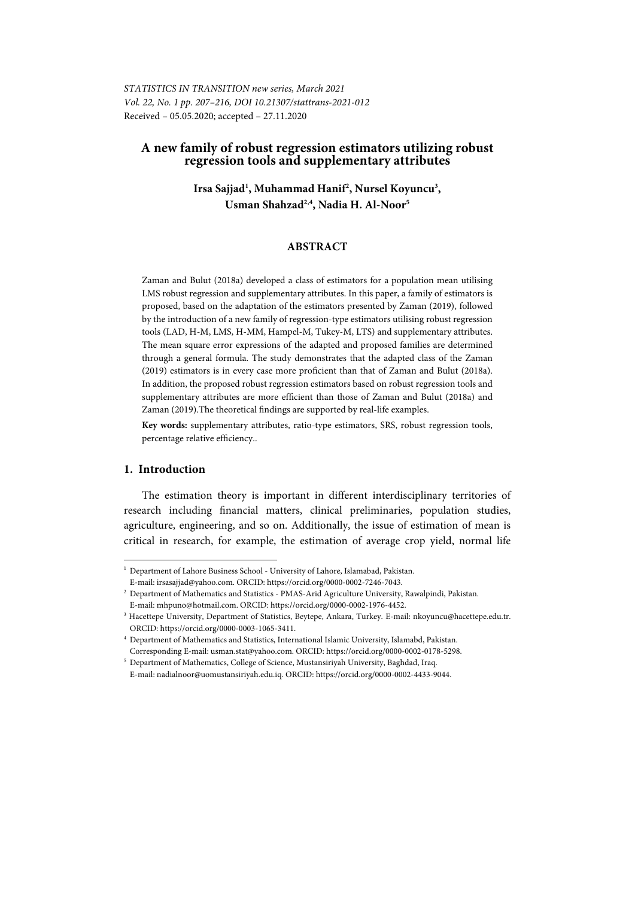*STATISTICS IN TRANSITION new series, March 2021 Vol. 22, No. 1 pp. 207–216, DOI 10.21307/stattrans-2021-012*  Received – 05.05.2020; accepted – 27.11.2020

# **A new family of robust regression estimators utilizing robust regression tools and supplementary attributes**

Irsa Sajjad<sup>1</sup>, Muhammad Hanif<sup>2</sup>, Nursel Koyuncu<sup>3</sup>, **Usman Shahzad2,4, Nadia H. Al-Noor5**

# **ABSTRACT**

Zaman and Bulut (2018a) developed a class of estimators for a population mean utilising LMS robust regression and supplementary attributes. In this paper, a family of estimators is proposed, based on the adaptation of the estimators presented by Zaman (2019), followed by the introduction of a new family of regression-type estimators utilising robust regression tools (LAD, H-M, LMS, H-MM, Hampel-M, Tukey-M, LTS) and supplementary attributes. The mean square error expressions of the adapted and proposed families are determined through a general formula. The study demonstrates that the adapted class of the Zaman (2019) estimators is in every case more proficient than that of Zaman and Bulut (2018a). In addition, the proposed robust regression estimators based on robust regression tools and supplementary attributes are more efficient than those of Zaman and Bulut (2018a) and Zaman (2019).The theoretical findings are supported by real-life examples.

**Key words:** supplementary attributes, ratio-type estimators, SRS, robust regression tools, percentage relative efficiency..

## **1. Introduction**

l

The estimation theory is important in different interdisciplinary territories of research including financial matters, clinical preliminaries, population studies, agriculture, engineering, and so on. Additionally, the issue of estimation of mean is critical in research, for example, the estimation of average crop yield, normal life

<sup>&</sup>lt;sup>1</sup> Department of Lahore Business School - University of Lahore, Islamabad, Pakistan.

E-mail: irsasajjad@yahoo.com. ORCID: https://orcid.org/0000-0002-7246-7043. 2 Department of Mathematics and Statistics - PMAS-Arid Agriculture University, Rawalpindi, Pakistan.

E-mail: mhpuno@hotmail.com. ORCID: https://orcid.org/0000-0002-1976-4452. 3

<sup>&</sup>lt;sup>3</sup> Hacettepe University, Department of Statistics, Beytepe, Ankara, Turkey. E-mail: nkoyuncu@hacettepe.edu.tr. ORCID: https://orcid.org/0000-0003-1065-3411. 4

Department of Mathematics and Statistics, International Islamic University, Islamabd, Pakistan. Corresponding E-mail: usman.stat@yahoo.com. ORCID: https://orcid.org/0000-0002-0178-5298.

<sup>&</sup>lt;sup>5</sup> Department of Mathematics, College of Science, Mustansiriyah University, Baghdad, Iraq. E-mail: nadialnoor@uomustansiriyah.edu.iq. ORCID: https://orcid.org/0000-0002-4433-9044.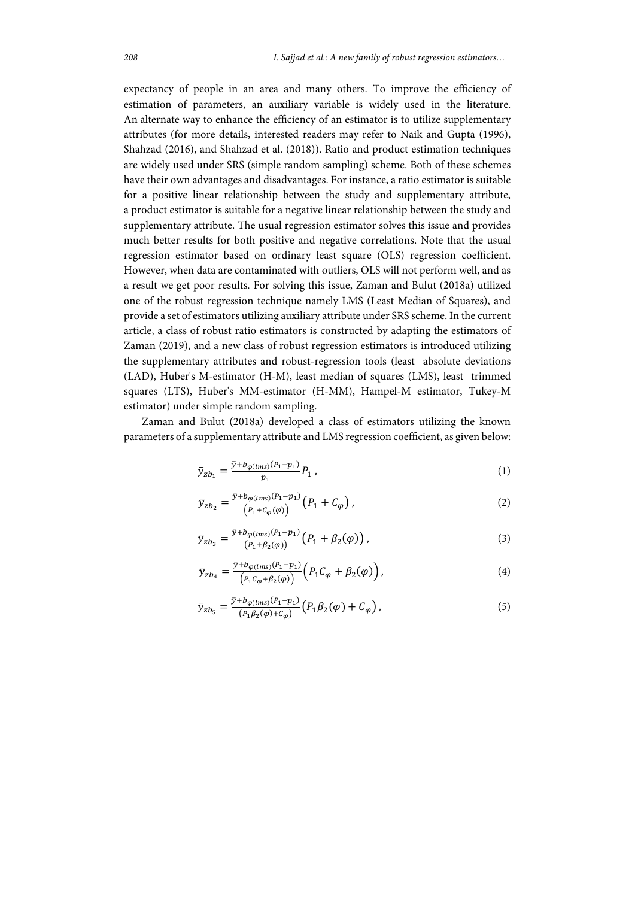expectancy of people in an area and many others. To improve the efficiency of estimation of parameters, an auxiliary variable is widely used in the literature. An alternate way to enhance the efficiency of an estimator is to utilize supplementary attributes (for more details, interested readers may refer to Naik and Gupta (1996), Shahzad (2016), and Shahzad et al. (2018)). Ratio and product estimation techniques are widely used under SRS (simple random sampling) scheme. Both of these schemes have their own advantages and disadvantages. For instance, a ratio estimator is suitable for a positive linear relationship between the study and supplementary attribute, a product estimator is suitable for a negative linear relationship between the study and supplementary attribute. The usual regression estimator solves this issue and provides much better results for both positive and negative correlations. Note that the usual regression estimator based on ordinary least square (OLS) regression coefficient. However, when data are contaminated with outliers, OLS will not perform well, and as a result we get poor results. For solving this issue, Zaman and Bulut (2018a) utilized one of the robust regression technique namely LMS (Least Median of Squares), and provide a set of estimators utilizing auxiliary attribute under SRS scheme. In the current article, a class of robust ratio estimators is constructed by adapting the estimators of Zaman (2019), and a new class of robust regression estimators is introduced utilizing the supplementary attributes and robust-regression tools (least absolute deviations (LAD), Huber's M-estimator (H-M), least median of squares (LMS), least trimmed squares (LTS), Huber's MM-estimator (H-MM), Hampel-M estimator, Tukey-M estimator) under simple random sampling.

Zaman and Bulut (2018a) developed a class of estimators utilizing the known parameters of a supplementary attribute and LMS regression coefficient, as given below:

$$
\bar{y}_{zb_1} = \frac{\bar{y} + b_{\varphi(lms)}(P_1 - p_1)}{p_1} P_1 \,, \tag{1}
$$

$$
\bar{y}_{zb_2} = \frac{\bar{y} + b_{\varphi(lms)}(P_1 - p_1)}{(P_1 + C_{\varphi}(\varphi))} (P_1 + C_{\varphi}), \qquad (2)
$$

$$
\bar{y}_{zb_3} = \frac{\bar{y} + b_{\varphi(lms)}(P_1 - p_1)}{(P_1 + \beta_2(\varphi))} (P_1 + \beta_2(\varphi)),
$$
\n(3)

$$
\bar{y}_{zb_4} = \frac{\bar{y} + b_{\varphi(lms)}(P_1 - p_1)}{(P_1 C_{\varphi} + \beta_2(\varphi))} \left( P_1 C_{\varphi} + \beta_2(\varphi) \right),\tag{4}
$$

$$
\bar{y}_{zb_5} = \frac{\bar{y} + b_{\varphi(lms)}(P_1 - p_1)}{(P_1 \beta_2(\varphi) + C_{\varphi})} \left( P_1 \beta_2(\varphi) + C_{\varphi} \right),\tag{5}
$$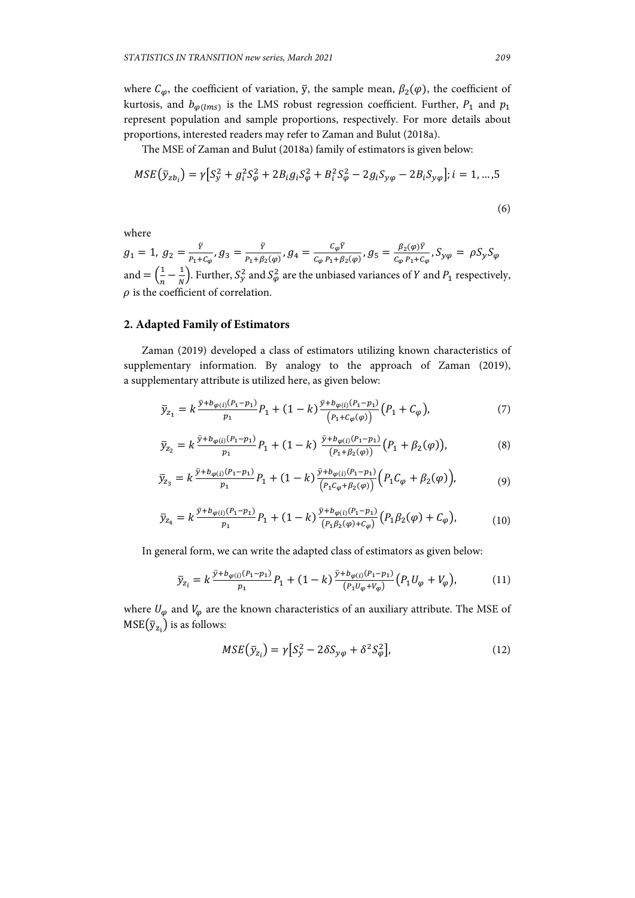where  $C_{\varphi}$ , the coefficient of variation,  $\bar{y}$ , the sample mean,  $\beta_2(\varphi)$ , the coefficient of kurtosis, and  $b_{\varphi(lms)}$  is the LMS robust regression coefficient. Further,  $P_1$  and  $p_1$ represent population and sample proportions, respectively. For more details about proportions, interested readers may refer to Zaman and Bulut (2018a).

The MSE of Zaman and Bulut (2018a) family of estimators is given below:

$$
MSE(\bar{y}_{zb_i}) = \gamma [S_y^2 + g_i^2 S_\varphi^2 + 2B_i g_i S_\varphi^2 + B_i^2 S_\varphi^2 - 2g_i S_{y\varphi} - 2B_i S_{y\varphi}]; i = 1, ..., 5
$$
\n(6)

where

 $g_1 = 1, g_2 = \frac{\bar{Y}}{P_1 + C_{\varphi}}, g_3 = \frac{\bar{Y}}{P_1 + \beta_2(\varphi)}, g_4 = \frac{C_{\varphi} \bar{Y}}{C_{\varphi} P_1 + \beta_2(\varphi)}, g_5 = \frac{\beta_2(\varphi) \bar{Y}}{C_{\varphi} P_1 + C_{\varphi}}, S_{\mathcal{Y}\varphi} = \rho S_{\mathcal{Y}} S_{\varphi}$ and  $=\left(\frac{1}{n}-\frac{1}{N}\right)$ . Further,  $S_y^2$  and  $S_\varphi^2$  are the unbiased variances of Y and  $P_1$  respectively,  $\rho$  is the coefficient of correlation.

### **2. Adapted Family of Estimators**

Zaman (2019) developed a class of estimators utilizing known characteristics of supplementary information. By analogy to the approach of Zaman (2019), a supplementary attribute is utilized here, as given below:

$$
\bar{y}_{z_1} = k \frac{\bar{y} + b_{\varphi(i)}(P_1 - p_1)}{p_1} P_1 + (1 - k) \frac{\bar{y} + b_{\varphi(i)}(P_1 - p_1)}{(P_1 + C_{\varphi}(\varphi))} (P_1 + C_{\varphi}),\tag{7}
$$

$$
\bar{y}_{z_2} = k \frac{\bar{y} + b_{\varphi(i)}(P_1 - p_1)}{p_1} P_1 + (1 - k) \frac{\bar{y} + b_{\varphi(i)}(P_1 - p_1)}{(P_1 + \beta_2(\varphi))} (P_1 + \beta_2(\varphi)),
$$
\n(8)

$$
\bar{y}_{z_3} = k \frac{\bar{y} + b_{\varphi(i)}(P_1 - p_1)}{p_1} P_1 + (1 - k) \frac{\bar{y} + b_{\varphi(i)}(P_1 - p_1)}{(P_1 C_{\varphi} + \beta_2(\varphi))} \Big( P_1 C_{\varphi} + \beta_2(\varphi) \Big), \tag{9}
$$

$$
\bar{y}_{z_4} = k \frac{\bar{y} + b_{\varphi(i)}(P_1 - p_1)}{p_1} P_1 + (1 - k) \frac{\bar{y} + b_{\varphi(i)}(P_1 - p_1)}{(P_1 \beta_2(\varphi) + C_\varphi)} (P_1 \beta_2(\varphi) + C_\varphi), \tag{10}
$$

In general form, we can write the adapted class of estimators as given below:

$$
\bar{y}_{z_i} = k \frac{\bar{y} + b_{\varphi(i)}(P_1 - p_1)}{p_1} P_1 + (1 - k) \frac{\bar{y} + b_{\varphi(i)}(P_1 - p_1)}{(P_1 U_\varphi + V_\varphi)} (P_1 U_\varphi + V_\varphi), \tag{11}
$$

where  $U_{\varphi}$  and  $V_{\varphi}$  are the known characteristics of an auxiliary attribute. The MSE of  $MSE(\bar{y}_{z_i})$  is as follows:

$$
MSE(\bar{y}_{z_i}) = \gamma \left[ S_y^2 - 2\delta S_{y\varphi} + \delta^2 S_{\varphi}^2 \right],\tag{12}
$$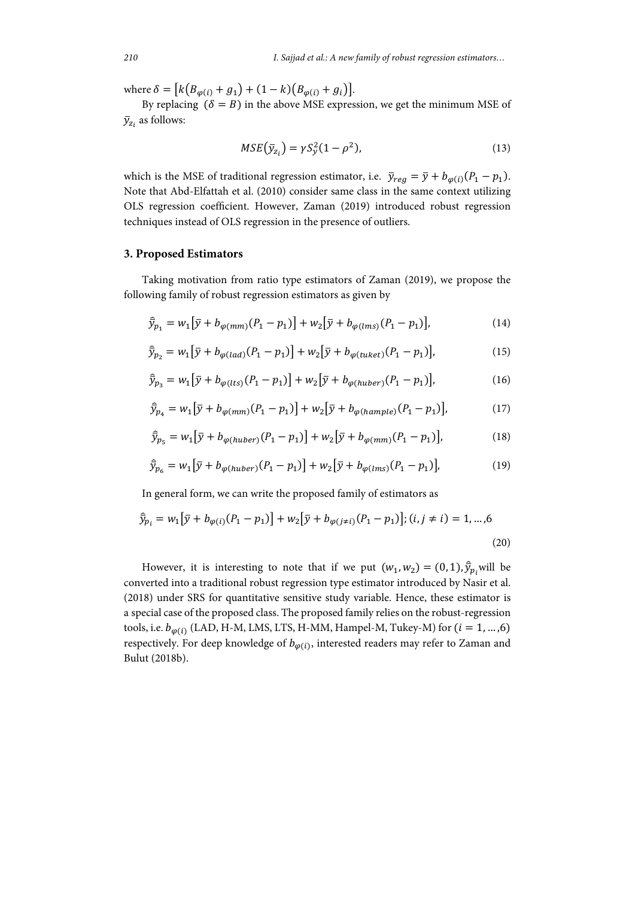where  $\delta = [k(B_{\varphi(i)} + g_1) + (1 - k)(B_{\varphi(i)} + g_i)].$ 

By replacing  $(\delta = B)$  in the above MSE expression, we get the minimum MSE of  $\bar{y}_{z_i}$  as follows:

$$
MSE\left(\bar{y}_{z_i}\right) = \gamma S_y^2 (1 - \rho^2),\tag{13}
$$

which is the MSE of traditional regression estimator, i.e.  $\bar{y}_{reg} = \bar{y} + b_{\varphi(i)}(P_1 - p_1)$ . Note that Abd-Elfattah et al. (2010) consider same class in the same context utilizing OLS regression coefficient. However, Zaman (2019) introduced robust regression techniques instead of OLS regression in the presence of outliers.

### **3. Proposed Estimators**

Taking motivation from ratio type estimators of Zaman (2019), we propose the following family of robust regression estimators as given by

$$
\widehat{\bar{y}}_{p_1} = w_1 [\bar{y} + b_{\varphi(mm)}(P_1 - p_1)] + w_2 [\bar{y} + b_{\varphi(lms)}(P_1 - p_1)], \qquad (14)
$$

$$
\hat{\bar{y}}_{p_2} = w_1 [\bar{y} + b_{\varphi (lad)} (P_1 - p_1)] + w_2 [\bar{y} + b_{\varphi (tuket)} (P_1 - p_1)], \qquad (15)
$$

$$
\hat{\bar{y}}_{p_3} = w_1 [\bar{y} + b_{\varphi(lts)}(P_1 - p_1)] + w_2 [\bar{y} + b_{\varphi(huber)}(P_1 - p_1)],
$$
\n(16)

$$
\hat{\bar{y}}_{p_4} = w_1 [\bar{y} + b_{\varphi(mm)}(P_1 - p_1)] + w_2 [\bar{y} + b_{\varphi(hample)}(P_1 - p_1)],
$$
\n(17)

$$
\hat{\bar{y}}_{p_5} = w_1 [\bar{y} + b_{\varphi(huber)}(P_1 - p_1)] + w_2 [\bar{y} + b_{\varphi(mm)}(P_1 - p_1)],
$$
\n(18)

$$
\hat{\bar{y}}_{p_6} = w_1 [\bar{y} + b_{\varphi(huber)}(P_1 - p_1)] + w_2 [\bar{y} + b_{\varphi(lms)}(P_1 - p_1)],
$$
\n(19)

In general form, we can write the proposed family of estimators as

$$
\hat{\bar{y}}_{p_i} = w_1 [\bar{y} + b_{\varphi(i)}(P_1 - p_1)] + w_2 [\bar{y} + b_{\varphi(j \neq i)}(P_1 - p_1)]; (i, j \neq i) = 1, ..., 6
$$
\n(20)

However, it is interesting to note that if we put  $(w_1, w_2) = (0, 1), \hat{y}_p$  will be converted into a traditional robust regression type estimator introduced by Nasir et al. (2018) under SRS for quantitative sensitive study variable. Hence, these estimator is a special case of the proposed class. The proposed family relies on the robust-regression tools, i.e.  $b_{\varphi(i)}$  (LAD, H-M, LMS, LTS, H-MM, Hampel-M, Tukey-M) for  $(i = 1, ..., 6)$ respectively. For deep knowledge of  $b_{\varphi(i)}$ , interested readers may refer to Zaman and Bulut (2018b).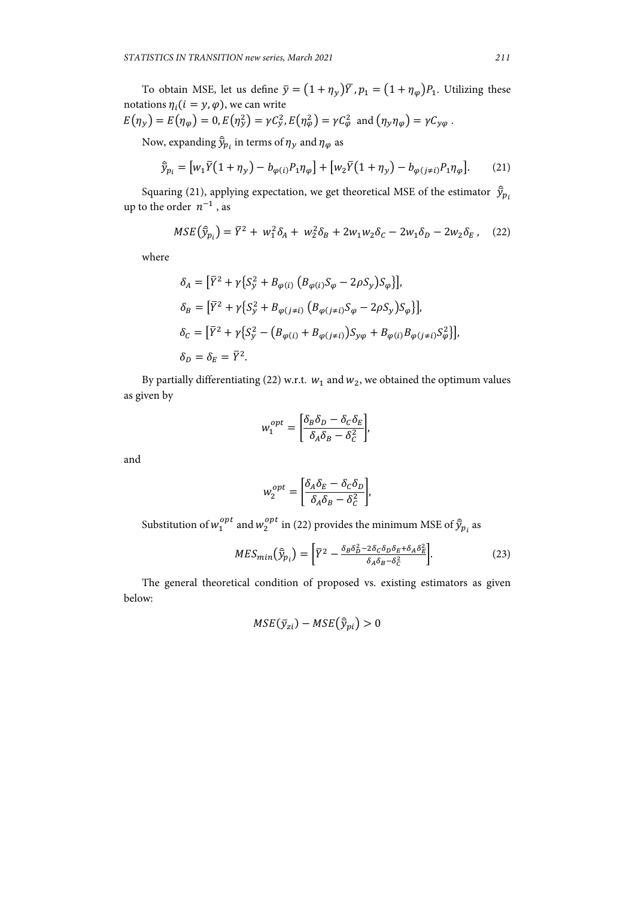To obtain MSE, let us define  $\bar{y} = (1 + \eta_y)\bar{Y}$ ,  $p_1 = (1 + \eta_\varphi)P_1$ . Utilizing these notations  $\eta_i$  ( $i = y, \varphi$ ), we can write

$$
E(\eta_y) = E(\eta_\varphi) = 0, E(\eta_y^2) = \gamma C_y^2, E(\eta_\varphi^2) = \gamma C_\varphi^2 \text{ and } (\eta_y \eta_\varphi) = \gamma C_{y\varphi}.
$$

Now, expanding  $\widehat{\bar{y}}_{p_i}$  in terms of  $\eta_y$  and  $\eta_\varphi$  as

$$
\hat{\bar{y}}_{p_i} = [w_1 \bar{Y}(1 + \eta_y) - b_{\varphi(i)} P_1 \eta_{\varphi}] + [w_2 \bar{Y}(1 + \eta_y) - b_{\varphi(j \neq i)} P_1 \eta_{\varphi}].
$$
 (21)

Squaring (21), applying expectation, we get theoretical MSE of the estimator  $\widehat{\bar{y}}_{p_i}$ up to the order  $n^{-1}$ , as

$$
MSE\left(\hat{\bar{y}}_{p_i}\right) = \bar{Y}^2 + w_1^2 \delta_A + w_2^2 \delta_B + 2w_1 w_2 \delta_C - 2w_1 \delta_D - 2w_2 \delta_E, \quad (22)
$$

where

$$
\delta_A = [\bar{Y}^2 + \gamma \{ S_y^2 + B_{\varphi(i)} (B_{\varphi(i)} S_{\varphi} - 2\rho S_y) S_{\varphi} \}],
$$
  
\n
$$
\delta_B = [\bar{Y}^2 + \gamma \{ S_y^2 + B_{\varphi(j \neq i)} (B_{\varphi(j \neq i)} S_{\varphi} - 2\rho S_y) S_{\varphi} \}],
$$
  
\n
$$
\delta_C = [\bar{Y}^2 + \gamma \{ S_y^2 - (B_{\varphi(i)} + B_{\varphi(j \neq i)}) S_{y\varphi} + B_{\varphi(i)} B_{\varphi(j \neq i)} S_{\varphi}^2 \}],
$$
  
\n
$$
\delta_D = \delta_E = \bar{Y}^2.
$$

By partially differentiating (22) w.r.t.  $w_1$  and  $w_2$ , we obtained the optimum values as given by

$$
w_1^{opt} = \left[\frac{\delta_B \delta_D - \delta_C \delta_E}{\delta_A \delta_B - \delta_C^2}\right],
$$

and

$$
w_2^{opt} = \left[\frac{\delta_A \delta_E - \delta_C \delta_D}{\delta_A \delta_B - \delta_C^2}\right],
$$

Substitution of  $w_1^{opt}$  and  $w_2^{opt}$  in (22) provides the minimum MSE of  $\widehat{\mathfrak{Y}}_{p_i}$  as

$$
MES_{min}(\hat{\bar{y}}_{p_i}) = \left[\bar{Y}^2 - \frac{\delta_B \delta_D^2 - 2\delta_C \delta_D \delta_E + \delta_A \delta_E^2}{\delta_A \delta_B - \delta_C^2}\right].\tag{23}
$$

The general theoretical condition of proposed vs. existing estimators as given below:

$$
MSE(\bar{y}_{zi}) - MSE(\hat{\bar{y}}_{pi}) > 0
$$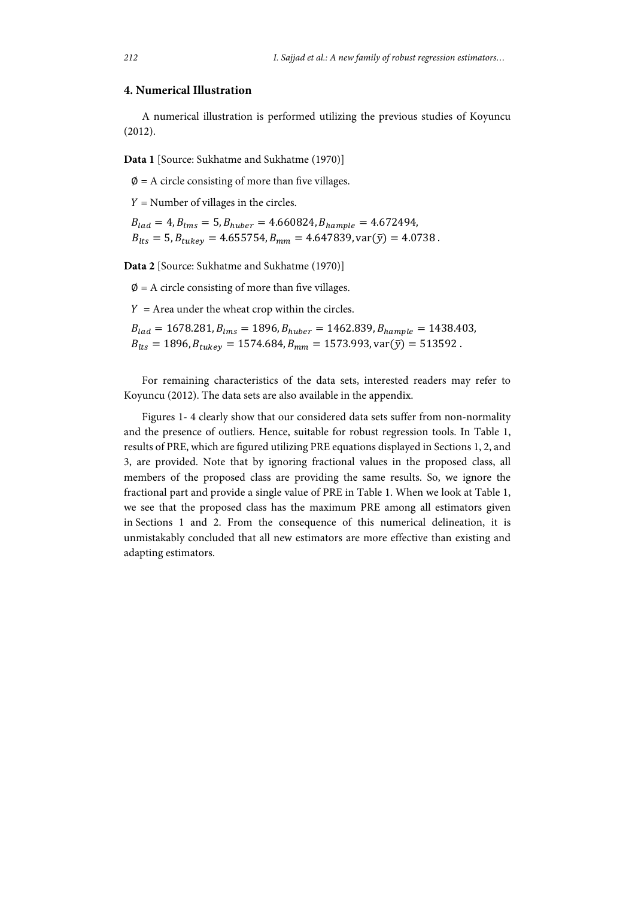## **4. Numerical Illustration**

A numerical illustration is performed utilizing the previous studies of Koyuncu (2012).

**Data 1** [Source: Sukhatme and Sukhatme (1970)]

 $\varnothing$  = A circle consisting of more than five villages.

 $Y =$  Number of villages in the circles.

 $B_{lad} = 4, B_{lms} = 5, B_{huber} = 4.660824, B_{hample} = 4.672494,$  $B_{lts} = 5$ ,  $B_{tukey} = 4.655754$ ,  $B_{mm} = 4.647839$ , var $(\bar{y}) = 4.0738$ .

**Data 2** [Source: Sukhatme and Sukhatme (1970)]

 $\varnothing$  = A circle consisting of more than five villages.

 $Y =$  Area under the wheat crop within the circles.

 $B_{lad} = 1678.281, B_{lms} = 1896, B_{huber} = 1462.839, B_{hample} = 1438.403,$  $B_{lts} = 1896, B_{tukev} = 1574.684, B_{mm} = 1573.993, \text{var}(\bar{y}) = 513592$ .

For remaining characteristics of the data sets, interested readers may refer to Koyuncu (2012). The data sets are also available in the appendix.

Figures 1- 4 clearly show that our considered data sets suffer from non-normality and the presence of outliers. Hence, suitable for robust regression tools. In Table 1, results of PRE, which are figured utilizing PRE equations displayed in Sections 1, 2, and 3, are provided. Note that by ignoring fractional values in the proposed class, all members of the proposed class are providing the same results. So, we ignore the fractional part and provide a single value of PRE in Table 1. When we look at Table 1, we see that the proposed class has the maximum PRE among all estimators given in Sections 1 and 2. From the consequence of this numerical delineation, it is unmistakably concluded that all new estimators are more effective than existing and adapting estimators.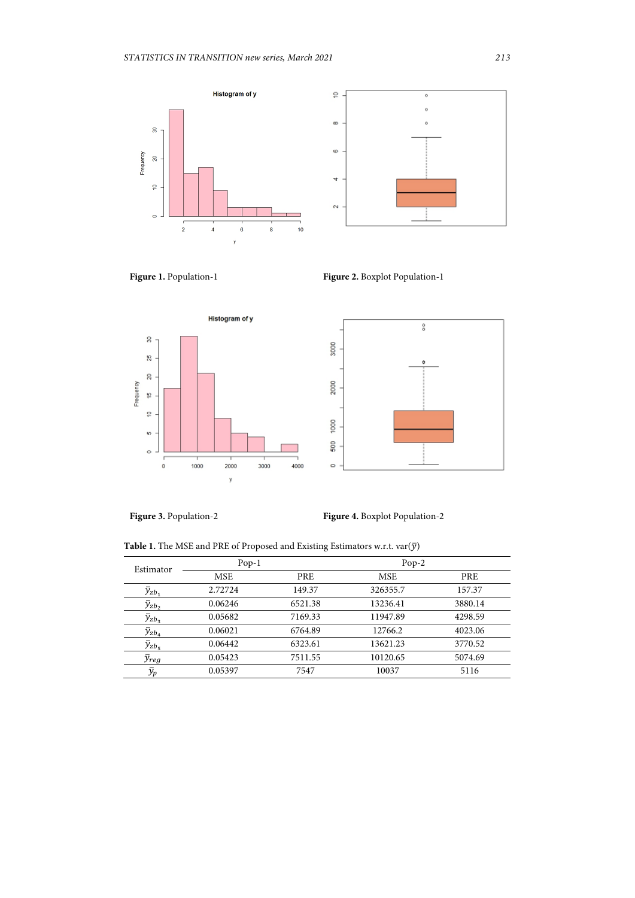









**Figure 3.** Population-2 **Figure 4.** Boxplot Population-2

**Table 1.** The MSE and PRE of Proposed and Existing Estimators w.r.t.  $var(\bar{y})$ 

| Estimator             | $Pop-1$ |         | $Pop-2$  |         |
|-----------------------|---------|---------|----------|---------|
|                       | MSE     | PRE     | MSE      | PRE     |
| $\overline{y}_{zb}$   | 2.72724 | 149.37  | 326355.7 | 157.37  |
| $y_{zb_2}$            | 0.06246 | 6521.38 | 13236.41 | 3880.14 |
| $\bar{y}_{zb_3}$      | 0.05682 | 7169.33 | 11947.89 | 4298.59 |
| $\bar{y}_{zb_a}$      | 0.06021 | 6764.89 | 12766.2  | 4023.06 |
| $\bar{y}_{zb_5}$      | 0.06442 | 6323.61 | 13621.23 | 3770.52 |
| $\bar{y}_{reg}$       | 0.05423 | 7511.55 | 10120.65 | 5074.69 |
| $\bar{\mathcal{Y}}_p$ | 0.05397 | 7547    | 10037    | 5116    |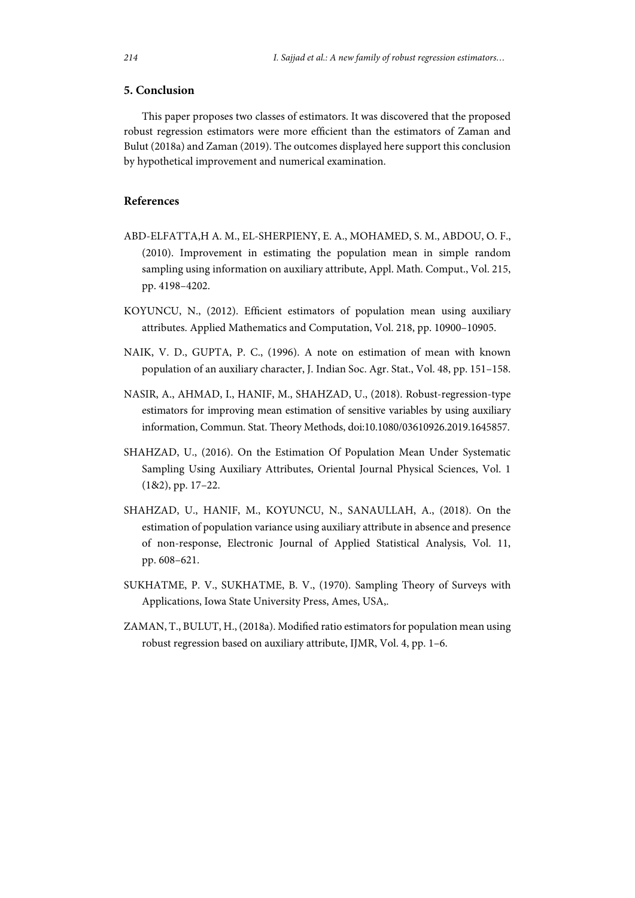## **5. Conclusion**

This paper proposes two classes of estimators. It was discovered that the proposed robust regression estimators were more efficient than the estimators of Zaman and Bulut (2018a) and Zaman (2019). The outcomes displayed here support this conclusion by hypothetical improvement and numerical examination.

## **References**

- ABD-ELFATTA,H A. M., EL-SHERPIENY, E. A., MOHAMED, S. M., ABDOU, O. F., (2010). Improvement in estimating the population mean in simple random sampling using information on auxiliary attribute, Appl. Math. Comput., Vol. 215, pp. 4198–4202.
- KOYUNCU, N., (2012). Efficient estimators of population mean using auxiliary attributes. Applied Mathematics and Computation, Vol. 218, pp. 10900–10905.
- NAIK, V. D., GUPTA, P. C., (1996). A note on estimation of mean with known population of an auxiliary character, J. Indian Soc. Agr. Stat., Vol. 48, pp. 151–158.
- NASIR, A., AHMAD, I., HANIF, M., SHAHZAD, U., (2018). Robust-regression-type estimators for improving mean estimation of sensitive variables by using auxiliary information, Commun. Stat. Theory Methods, doi:10.1080/03610926.2019.1645857.
- SHAHZAD, U., (2016). On the Estimation Of Population Mean Under Systematic Sampling Using Auxiliary Attributes, Oriental Journal Physical Sciences, Vol. 1 (1&2), pp. 17–22.
- SHAHZAD, U., HANIF, M., KOYUNCU, N., SANAULLAH, A., (2018). On the estimation of population variance using auxiliary attribute in absence and presence of non-response, Electronic Journal of Applied Statistical Analysis, Vol. 11, pp. 608–621.
- SUKHATME, P. V., SUKHATME, B. V., (1970). Sampling Theory of Surveys with Applications, Iowa State University Press, Ames, USA,.
- ZAMAN, T., BULUT, H., (2018a). Modified ratio estimators for population mean using robust regression based on auxiliary attribute, IJMR, Vol. 4, pp. 1–6.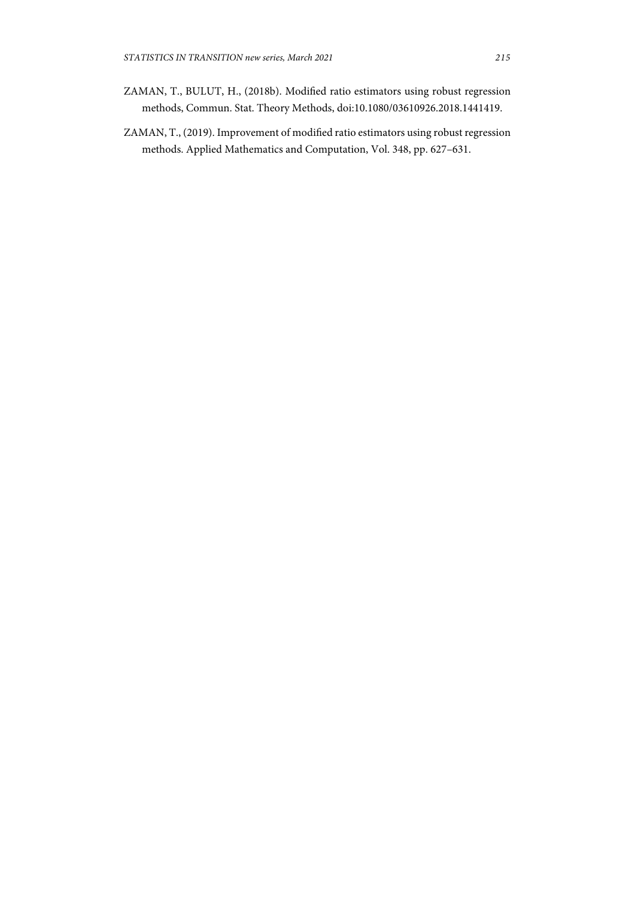- ZAMAN, T., BULUT, H., (2018b). Modified ratio estimators using robust regression methods, Commun. Stat. Theory Methods, doi:10.1080/03610926.2018.1441419.
- ZAMAN, T., (2019). Improvement of modified ratio estimators using robust regression methods. Applied Mathematics and Computation, Vol. 348, pp. 627–631.